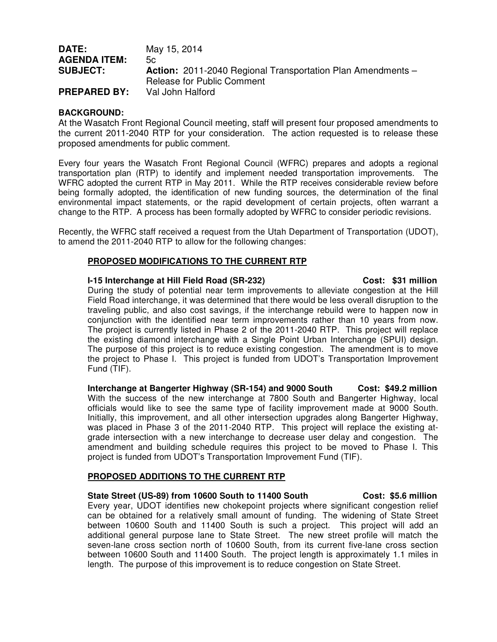| <b>DATE:</b>        | May 15, 2014                                                       |
|---------------------|--------------------------------------------------------------------|
| <b>AGENDA ITEM:</b> | 5c                                                                 |
| <b>SUBJECT:</b>     | <b>Action:</b> 2011-2040 Regional Transportation Plan Amendments – |
|                     | <b>Release for Public Comment</b>                                  |
| <b>PREPARED BY:</b> | Val John Halford                                                   |

# **BACKGROUND:**

At the Wasatch Front Regional Council meeting, staff will present four proposed amendments to the current 2011-2040 RTP for your consideration. The action requested is to release these proposed amendments for public comment.

Every four years the Wasatch Front Regional Council (WFRC) prepares and adopts a regional transportation plan (RTP) to identify and implement needed transportation improvements. The WFRC adopted the current RTP in May 2011. While the RTP receives considerable review before being formally adopted, the identification of new funding sources, the determination of the final environmental impact statements, or the rapid development of certain projects, often warrant a change to the RTP. A process has been formally adopted by WFRC to consider periodic revisions.

Recently, the WFRC staff received a request from the Utah Department of Transportation (UDOT), to amend the 2011-2040 RTP to allow for the following changes:

# **PROPOSED MODIFICATIONS TO THE CURRENT RTP**

#### **I-15 Interchange at Hill Field Road (SR-232) Cost: \$31 million**

During the study of potential near term improvements to alleviate congestion at the Hill Field Road interchange, it was determined that there would be less overall disruption to the traveling public, and also cost savings, if the interchange rebuild were to happen now in conjunction with the identified near term improvements rather than 10 years from now. The project is currently listed in Phase 2 of the 2011-2040 RTP. This project will replace the existing diamond interchange with a Single Point Urban Interchange (SPUI) design. The purpose of this project is to reduce existing congestion. The amendment is to move the project to Phase I. This project is funded from UDOT's Transportation Improvement Fund (TIF).

**Interchange at Bangerter Highway (SR-154) and 9000 South Cost: \$49.2 million**  With the success of the new interchange at 7800 South and Bangerter Highway, local officials would like to see the same type of facility improvement made at 9000 South. Initially, this improvement, and all other intersection upgrades along Bangerter Highway, was placed in Phase 3 of the 2011-2040 RTP. This project will replace the existing atgrade intersection with a new interchange to decrease user delay and congestion. The amendment and building schedule requires this project to be moved to Phase I. This project is funded from UDOT's Transportation Improvement Fund (TIF).

# **PROPOSED ADDITIONS TO THE CURRENT RTP**

# **State Street (US-89) from 10600 South to 11400 South Cost: \$5.6 million**  Every year, UDOT identifies new chokepoint projects where significant congestion relief can be obtained for a relatively small amount of funding. The widening of State Street between 10600 South and 11400 South is such a project. This project will add an additional general purpose lane to State Street. The new street profile will match the seven-lane cross section north of 10600 South, from its current five-lane cross section between 10600 South and 11400 South. The project length is approximately 1.1 miles in length. The purpose of this improvement is to reduce congestion on State Street.